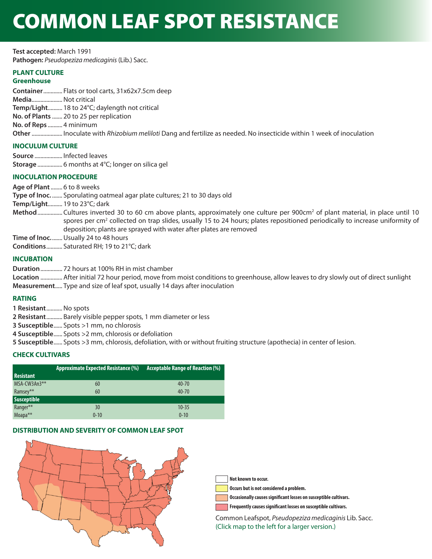# COMMON LEAF SPOT RESISTANCE

**Test accepted:** March 1991 **Pathogen:** *Pseudopeziza medicaginis* (Lib.) Sacc.

# **PLANT CULTURE**

# **Greenhouse**

**Container** ............. Flats or tool carts, 31x62x7.5cm deep **Media**.....................Not critical **Temp/Light**.......... 18 to 24°C; daylength not critical **No. of Plants** ....... 20 to 25 per replication **No. of Reps** .......... 4 minimum **Other** ..................... Inoculate with *Rhizobium meliloti* Dang and fertilize as needed. No insecticide within 1 week of inoculation

# **INOCULUM CULTURE**

**Source** ................... Infected leaves **Storage** ................. 6 months at 4°C; longer on silica gel

# **INOCULATION PROCEDURE**

**Age of Plant** ........ 6 to 8 weeks

- **Type of Inoc.** ....... Sporulating oatmeal agar plate cultures; 21 to 30 days old
- **Temp/Light**.......... 19 to 23°C; dark
- Method ................. Cultures inverted 30 to 60 cm above plants, approximately one culture per 900cm<sup>2</sup> of plant material, in place until 10 spores per cm<sup>2</sup> collected on trap slides, usually 15 to 24 hours; plates repositioned periodically to increase uniformity of deposition; plants are sprayed with water after plates are removed

**Time of Inoc.** ....... Usually 24 to 48 hours

**Conditions** ........... Saturated RH; 19 to 21°C; dark

# **INCUBATION**

**Duration** ............... 72 hours at 100% RH in mist chamber

**Location** ............... After initial 72 hour period, move from moist conditions to greenhouse, allow leaves to dry slowly out of direct sunlight **Measurement** ..... Type and size of leaf spot, usually 14 days after inoculation

## **RATING**

**1 Resistant** ...........No spots

**2 Resistant** ........... Barely visible pepper spots, 1 mm diameter or less

**3 Susceptible** ...... Spots >1 mm, no chlorosis

- **4 Susceptible** ...... Spots >2 mm, chlorosis or defoliation
- **5 Susceptible** ...... Spots >3 mm, chlorosis, defoliation, with or without fruiting structure (apothecia) in center of lesion.

# **CHECK CULTIVARS**

|                     | <b>Approximate Expected Resistance (%)</b> | <b>Acceptable Range of Reaction (%)</b> |
|---------------------|--------------------------------------------|-----------------------------------------|
| <b>Resistant</b>    |                                            |                                         |
| MSA-CW3An3**        | 60                                         | $40 - 70$                               |
| Ramsey**            | 60                                         | $40 - 70$                               |
| <b>Susceptible</b>  |                                            |                                         |
| Ranger**            | 30                                         | $10 - 35$                               |
| Moapa <sup>**</sup> | $0 - 10$                                   | $0 - 10$                                |

## **DISTRIBUTION AND SEVERITY OF COMMON LEAF SPOT**